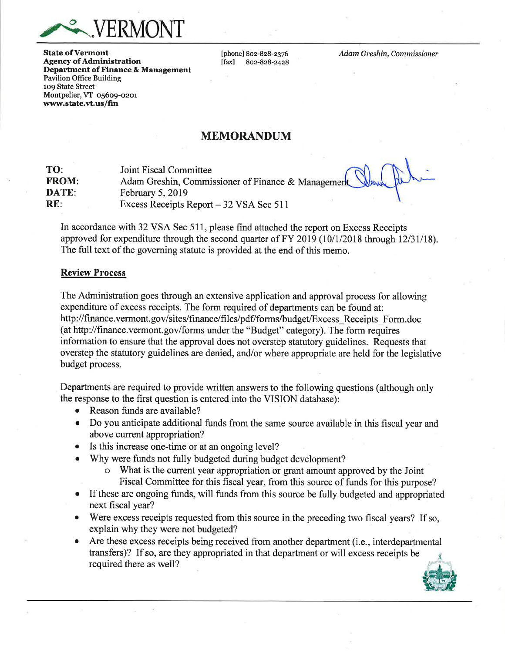

**State of Vermont** Agency of Administration Department of Finance & Management Pavilion Office Building 1o9 State Street Montpelier, VT 05609-0201 'wvvw.state.vt.us/fin

[phone] 802-828-2376<br>[fax] 802-828-2428 lfaxl 8oz-828-2428 Adam Greshin, Commissioner

x

# MEMORANDUM

| TO:          | Joint Fiscal Committee<br>Adam Greshin, Commissioner of Finance & Management |
|--------------|------------------------------------------------------------------------------|
| <b>FROM:</b> |                                                                              |
| DATE:        | February $5, 2019$                                                           |
| RE:          | Excess Receipts Report – 32 VSA Sec 511                                      |

In accordance with 32 VSA Sec 511, please find attached the report on Excess Receipts approved for expenditure through the second quarter of FY 2019 (10/1/2018 through 12/31/18). The full text of the governing statute is provided at the end of this memo.

#### Review Process

The Administration goes through an extensive application and approval process for allowing expenditure of excess receipts. The form required of departments can be found at: http://finance.vermont.gov/sites/finance/files/pdf/forms/budget/Excess\_Receipts\_Form.doc (at http://finance.vermont.gov/forms under the "Budget" category). The form requires information to ensure that the approval does not overstep statutory guidelines. Requests that overstep the statutory guidelines are denied, and/or where appropriate are held for the legislative budget process.

Departments are required to provide written answers to the following questions (although only the response to the first question is entered into the VISION database):

- o Reason funds are available?
- o Do you anticipate additional funds from the same source available in this fiscal year and above current appropriation?
- Is this increase one-time or at an ongoing level?
- . Why were funds not fully budgeted during budget development?
	- o What is the current year appropriation or grant amount approved by the Joint Fiscal Committee for this fiscal year, from this source of funds for this purpose?
- If these are ongoing funds, will funds from this source be fully budgeted and appropriated next fiscal year?
- o Were excess receipts requested from this source in the preceding two fiscal years? If so, explain why they were not budgeted?
- Are these excess receipts being received from another department (i.e., interdepartmental transfers)? If so, are they appropriated in that department or will excess receipts be required there as well? .{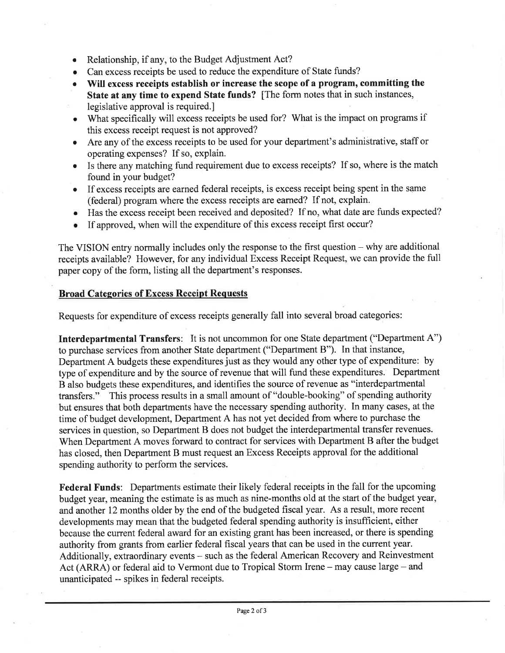- o Relationship, if any, to the Budget Adjustment Act?
- Can excess receipts be used to reduce the expenditure of State funds?
- Will excess receipts establish or increase the scope of a program, committing the State at any time to expend State funds? [The form notes that in such instances, legislative approval is required.]
- o What specifically will excess receipts be used for? What is the impact on programs if this excess receipt request is not approved?
- o Are any of the excess receipts to be used for your department's administrative, staff or operating expenses? If so, explain.
- Is there any matching fund requirement due to excess receipts? If so, where is the match found in your budget?
- If excess receipts are earned federal receipts, is excess receipt being spent in the same (federal) program where the excess receipts are earned? If not, explain.
- o Has the excess receipt been received and deposited? If no, what date are funds expected?
- If approved, when will the expenditure of this excess receipt first occur?

The VISION entry normally includes only the response to the first question - why are additional receipts available? However, for any individual Excess Receipt Request, we can provide the full paper copy of the form, listing all the department's responses.

# **Broad Categories of Excess Receipt Requests**

Requests for expenditure of excess receipts generally fall into several broad categories:

Interdepartmental Transfers: It is not uncommon for one State department ("Department A") to purchase services from another State department ("Department B"). In that instance, Department A budgets these expenditures just as they would any other type of expenditure: by type of expenditure and by the source of revenue that will fund these expenditures. Department B also budgets these expenditures, and identifies the source of revenue as "interdepartmental transfers." This process results in a small amount of "double-booking" of spending authority but ensures that both departments have the necessary spending authority. In many cases, at the time of budget development, Department A has not yet decided from where to purchase the services in question, so Department B does not budget the interdepartmental transfer revenues. When Department A moves forward to contract for services with Department B after the budget has closed, then Department B must request an Excess Receipts approval for the additional spending authority to perform the services.

Federal Funds: Departments estimate their likely federal receipts in the fall for the upcoming budget year, meaning the estimate is as much as nine-months old at the start of the budget year, and another 12 months older by the end of the budgeted fiscal year. As a result, more recent developments may mean that the budgeted federal spending authority is insufhcient, either because the current federal award for an existing grant has been increased, or there is spending authority from grants from earlier federal fiscal years that can be used in the current year. Additionally, extraordinary events – such as the federal American Recovery and Reinvestment Act (ARRA) or federal aid to Vermont due to Tropical Storm Irene – may cause large – and unanticipated -- spikes in federal receipts.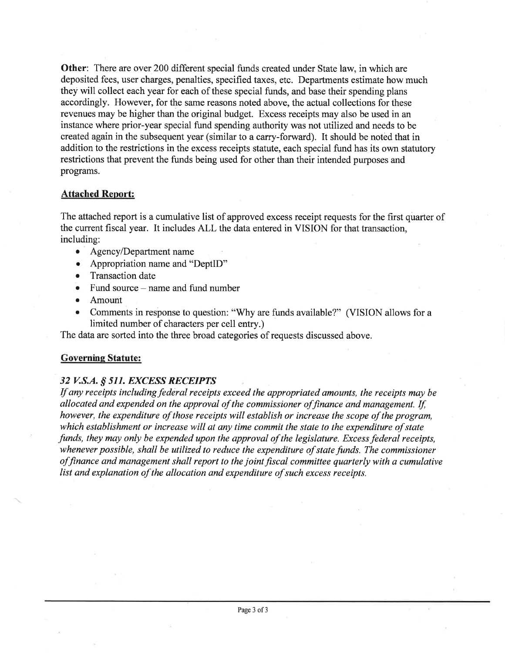Other: There are over 200 different special funds created under State law, in which are deposited fees, user charges, penalties, specified taxes, etc. Departments estimate how much they will collect each year for each of these special funds, and base their spending plans accordingly. However, for the same reasons noted above, the actual collections for these revenues may be higher than the original budget. Excess receipts may also be used in an instance where prior-year special fund spending authority was not utilized and needs to be created again in the subsequent year (similar to a carry-forward). It should be noted that in addition to the restrictions in the excess receipts statute, each special fund has its own statutory restrictions that prevent the funds being used for other than their intended purposes and programs.

### Attached Report:

The attached report is a cumulative list of approved excess receipt requests for the first quarter of the current fiscal year. It includes ALL the data entered in VISION for that transaction, including:

- $\bullet$  Agency/Department name
- $\bullet$  Appropriation name and "DeptID"
- Transaction date
- Fund source name and fund number<br>• Amount
- Amount
- r Comments in response to question: "Why are funds available?" (VISION allows for <sup>a</sup> limited number of characters per cell entry.)

The data are sorted into the three broad categories of requests discussed above.

## Governing Statute:

## 32 V.S.A. § 511. EXCESS RECEIPTS

If any receipts including federal receipts exceed the appropriated amounts, the receipts may be allocated and expended on the approval of the commissioner of finance and management. If, however, the expenditure of those receipts will establish or increase the scope of the program, which establishment or increase will at any time commit the state to the expenditure of state funds, they may only be expended upon the approval of the legislature. Excess federal receipts, whenever possible, shall be utilized to reduce the expenditure of state funds. The commissioner offinance and management shall report to the joint fiscal committee quarterly with a cumulative list and explanation of the allocation and expenditure of such excess receipts.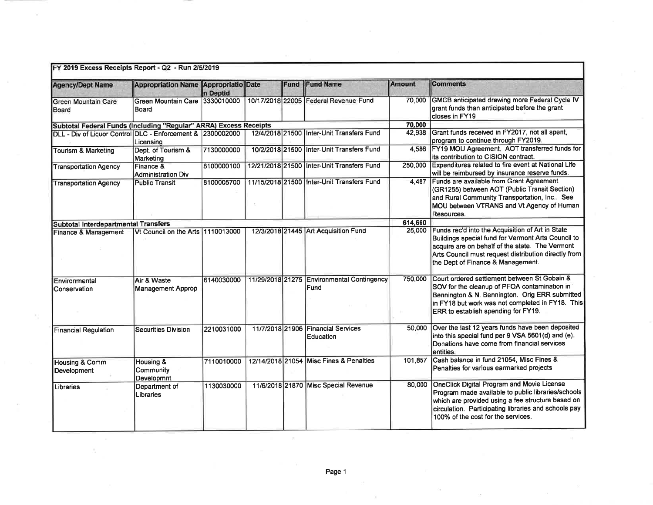| <b>Agency/Dept Name</b>                                           | Appropriation Name Appropriatio Date    | n Deptid   |  | Fund | <b>Fund Name</b>                                   | Amount  | <b>Comments</b>                                                                                                                                                                                                                                            |  |  |
|-------------------------------------------------------------------|-----------------------------------------|------------|--|------|----------------------------------------------------|---------|------------------------------------------------------------------------------------------------------------------------------------------------------------------------------------------------------------------------------------------------------------|--|--|
| Green Mountain Care<br>Board                                      | Green Mountain Care 3330010000<br>Board |            |  |      | 10/17/2018 22005 Federal Revenue Fund              | 70,000  | GMCB anticipated drawing more Federal Cycle IV<br>grant funds than anticipated before the grant<br>closes in FY19                                                                                                                                          |  |  |
| Subtotal Federal Funds (Including "Regular" ARRA) Excess Receipts |                                         |            |  |      |                                                    | 70,000  |                                                                                                                                                                                                                                                            |  |  |
| DLL - Div of Liquor Control DLC - Enforcement & 2300002000        | Licensing                               |            |  |      | 12/4/2018 21500 Inter-Unit Transfers Fund          |         | 42,938 Grant funds received in FY2017, not all spent,<br>program to continue through FY2019.                                                                                                                                                               |  |  |
| Tourism & Marketing                                               | Dept. of Tourism &<br>Marketing         |            |  |      | 10/2/2018 21500 Inter-Unit Transfers Fund          |         | 4.586 FY19 MOU Agreement. AOT transferred funds for<br>its contribution to CISION contract.                                                                                                                                                                |  |  |
| <b>Transportation Agency</b>                                      | Finance &<br>Administration Div         |            |  |      | 12/21/2018 21500 Inter-Unit Transfers Fund         | 250,000 | Expenditures related to fire event at National Life<br>will be reimbursed by insurance reserve funds.                                                                                                                                                      |  |  |
| <b>Public Transit</b><br><b>Transportation Agency</b>             |                                         | 8100005700 |  |      | 11/15/2018 21500 Inter-Unit Transfers Fund         |         | 4.487 Funds are available from Grant Agreement<br>(GR1255) between AOT (Public Transit Section)<br>and Rural Community Transportation, Inc See<br>MOU between VTRANS and Vt Agency of Human<br>Resources.                                                  |  |  |
| Subtotal Interdepartmental Transfers                              |                                         |            |  |      |                                                    | 614,660 |                                                                                                                                                                                                                                                            |  |  |
| Finance & Management                                              | Vt Council on the Arts 1110013000       |            |  |      | 12/3/2018 21445 Art Acquisition Fund               | 25,000  | Funds rec'd into the Acquisition of Art in State<br>Buildings special fund for Vermont Arts Council to<br>acquire are on behalf of the state. The Vermont<br>Arts Council must request distribution directly from<br>the Dept of Finance & Management.     |  |  |
| Environmental<br>Conservation                                     | Air & Waste<br><b>Management Approp</b> | 6140030000 |  |      | 11/29/2018 21275 Environmental Contingency<br>Fund | 750,000 | Court ordered settlement between St Gobain &<br>SOV for the cleanup of PFOA contamination in<br>Bennington & N. Bennington. Orig ERR submitted<br>in FY18 but work was not completed in FY18. This<br>ERR to establish spending for FY19.                  |  |  |
| <b>Financial Regulation</b>                                       | <b>Securities Division</b>              | 2210031000 |  |      | 11/7/2018 21906 Financial Services<br>Education    | 50,000  | Over the last 12 years funds have been deposited<br>into this special fund per 9 VSA 5601(d) and (e).<br>Donations have come from financial services<br>entities.                                                                                          |  |  |
| <b>Housing &amp; Comm</b><br>Development                          | Housing &<br>Community<br>Developmnt    | 7110010000 |  |      | 12/14/2018 21054 Misc Fines & Penalties            | 101,857 | Cash balance in fund 21054, Misc Fines &<br>Penalties for various earmarked projects                                                                                                                                                                       |  |  |
| Libraries                                                         | Department of<br>Libraries              | 1130030000 |  |      | 11/6/2018 21870 Misc Special Revenue               | 80,000  | <b>OneClick Digital Program and Movie License</b><br>Program made available to public libraries/schools<br>which are provided using a fee structure based on<br>circulation. Participating libraries and schools pay<br>100% of the cost for the services. |  |  |

 $\epsilon$